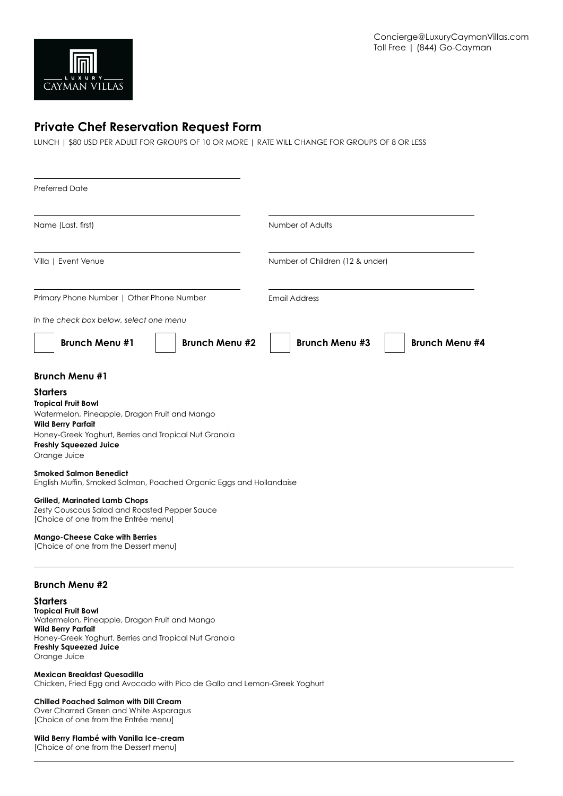

# **Private Chef Reservation Request Form**

LUNCH | \$80 USD PER ADULT FOR GROUPS OF 10 OR MORE | RATE WILL CHANGE FOR GROUPS OF 8 OR LESS

| <b>Preferred Date</b>                                                                                                                                                                                                                 |                                                |
|---------------------------------------------------------------------------------------------------------------------------------------------------------------------------------------------------------------------------------------|------------------------------------------------|
| Name (Last, first)                                                                                                                                                                                                                    | Number of Adults                               |
| Villa   Event Venue                                                                                                                                                                                                                   | Number of Children (12 & under)                |
| Primary Phone Number   Other Phone Number                                                                                                                                                                                             | <b>Email Address</b>                           |
| In the check box below, select one menu                                                                                                                                                                                               |                                                |
| <b>Brunch Menu #1</b><br><b>Brunch Menu #2</b>                                                                                                                                                                                        | <b>Brunch Menu #3</b><br><b>Brunch Menu #4</b> |
| <b>Brunch Menu #1</b>                                                                                                                                                                                                                 |                                                |
| <b>Starters</b><br><b>Tropical Fruit Bowl</b><br>Watermelon, Pineapple, Dragon Fruit and Mango<br><b>Wild Berry Parfait</b><br>Honey-Greek Yoghurt, Berries and Tropical Nut Granola<br><b>Freshly Squeezed Juice</b><br>Orange Juice |                                                |
| <b>Smoked Salmon Benedict</b><br>English Muffin, Smoked Salmon, Poached Organic Eggs and Hollandaise                                                                                                                                  |                                                |
| <b>Grilled, Marinated Lamb Chops</b><br>Zesty Couscous Salad and Roasted Pepper Sauce<br>[Choice of one from the Entrée menu]                                                                                                         |                                                |
| <b>Mango-Cheese Cake with Berries</b><br>[Choice of one from the Dessert menu]                                                                                                                                                        |                                                |

# **Brunch Menu #2**

**Starters Tropical Fruit Bowl** Watermelon, Pineapple, Dragon Fruit and Mango **Wild Berry Parfait** Honey-Greek Yoghurt, Berries and Tropical Nut Granola **Freshly Squeezed Juice** Orange Juice

#### **Mexican Breakfast Quesadilla** Chicken, Fried Egg and Avocado with Pico de Gallo and Lemon-Greek Yoghurt

**Chilled Poached Salmon with Dill Cream** Over Charred Green and White Asparagus [Choice of one from the Entrée menu]

### **Wild Berry Flambé with Vanilla Ice-cream**

[Choice of one from the Dessert menu]